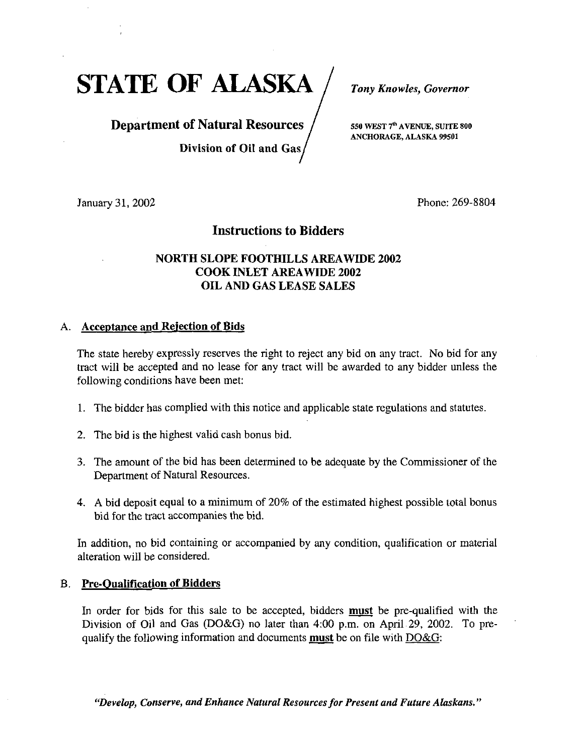STATE OF ALASKA / Tony Knowles, Governor

# **Department of Natural Resources**  $\int$  sso WEST  $7^{\circ}$  AVENUE, SUITE 800

Division of Oil and Gas

ANCHORAGE, ALASKA 99501

January 31, 2002 Phone: 269-8804

## Instructions to Bidders

## NORTH SLOPE FOOTHILLS AREAWIDE 2002 COOK INLET AREAWIDE 2002 OIL AND GAS LEASE SALES

## A. Acceptance and Rejection of Bids

The state hereby expressly reserves the right to reject any bid on any tract. No bid for any tract will be accepted and no lease for any tract will be awarded to any bidder unless the following conditions have been met:

- 1. The bidder has complied with this notice and applicable state regulations and statutes.
- 2. The bid is the highest valid cash bonus bid.
- 3. The amount of the bid has been determined to be adequate by the Commissioner of the Department of Natural Resources.
- 4. A bid deposit equal to a minimum of 20% of the estimated highest possible total bonus bid for the tract accompanies the bid.

In addition, no bid containing or accompanied by any condition, qualification or material alteration will be considered.

#### B. Pre-Oualification of Bidders

In order for bids for this sale to be accepted, bidders **must** be pre-qualified with the Division of Oil and Gas (DO&G) no later than 4:00 p.m. on April 29, 2002. To prequalify the following information and documents must be on file with DO&G:

"Develop, Conserve, and Enhance Natural Resources for Present and Future Alaskans.'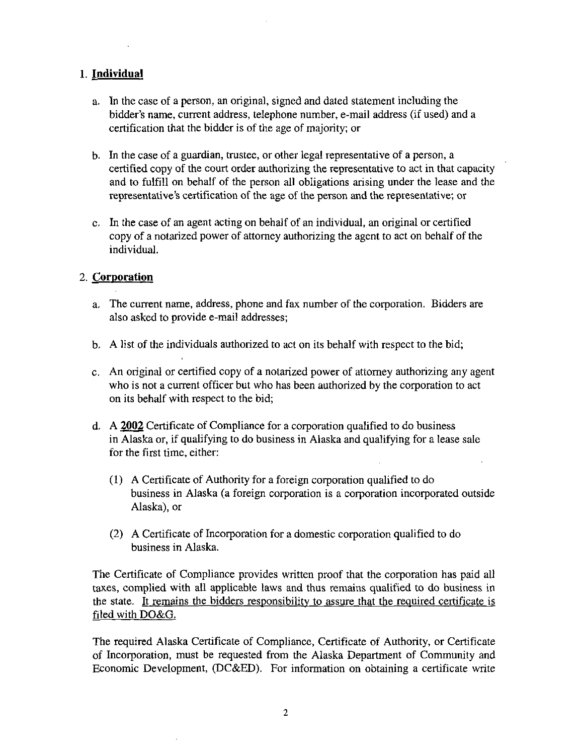## 1. Individual

- a. In the case of a person, an original, signed and dated statement including the bidder's name, current address, telephone number, e-mail address (if used) and a certification that the bidder is of the age of majority; or
- b. In the case of a guardian, trustee, or other legal representative of a person, a certified copy of the court order authorizing the representative to act in that capacity and to fulfill on behalf of the person all obligations arising under the lease and the representative's certification of the age of the person and the representative; or
- c. In the case of an agent acting on behalf of an individual, an original or certified copy of a notarized power of attorney authorizing the agent to act on behalf of the individual.

#### 2. Corporation

- a. The current name, address, phone and fax number of the corporation. Bidders are also asked to provide e-mail addresses;
- b. A list of the individuals authorized to act on its behalf with respect to the bid;
- c. An original or certified copy of a notarized power of attomey authorizing any agent who is not a current officer but who has been authorized by the corporation to act on its behalf with respect to the bid;
- d. A 2002 Certificate of Compliance for a corporation qualified to do business in Alaska or, if qualifying to do business in Alaska and qualifying for a lease sale for the first time, either:
	- (1) A Certificate of Authority for a foreign corporation qualified to do business in Alaska (a foreign corporation is a corporation incorporated outside Alaska), or
	- (2) A Certificate of Incorporation for a domestic corporation qualified to do business in Alaska.

The Certificate of Comphance provides written proof that the corporation has paid all taxes, complied with all applicable laws and thus remains qualified to do business in the state. It remains the bidders responsibilitv to assure that the required certificate is filed with DO&G.

The required Alaska Certificate of Compliance, Certificate of Authority, or Certificate of Incorporation, must be requested from the Alaska Department of Community and Economic Development, (DC&ED). For information on obtaining a certificate write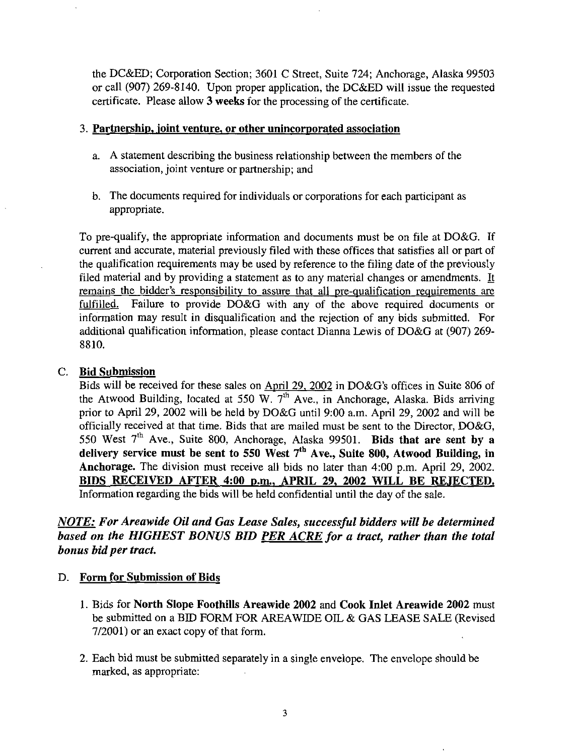the DC&ED; Corporation Section; 3601 C Street, Suite 724; Anchorage, Alaska 99503 or call (907) 269-8140. Upon proper application, the DC&ED will issue the requested certificate. Please allow 3 weeks for the processing of the certificate.

#### 3. Partnership, joint venture, or other unincorporated association

- a. A statement describing the business relationship between the members of the association, joint venture or partnership; and
- b. The documents required for individuals or corporations for each participant as appropriate.

To pre-qualify, the appropriate information and documents must be on file at DO&G. If current and accurate, material previously filed with these offices that satisfies all or part of the quahfication requirements may be used by reference to the filing date of the previously filed material and by providing a statement as to any material changes or amendments. It remains the bidder's responsibility to assure that all pre-qualification requirements are fulfilled. Failure to provide DO&G with any of the above required documents or information may result in disqualification and the rejection of any bids submitted. For additional qualification infonnation, please contact Dianna Lewis of DO&G at (907) 269- 8810.

## C. Bid Submission

Bids will be received for these sales on April 29, 2002 in DO&G's offices in Suite 806 of the Atwood Building, located at 550 W.  $7<sup>th</sup>$  Ave., in Anchorage, Alaska. Bids arriving prior to April 29, 2002 will be held by DO&G until 9:00 a.m. April 29, 2002 and will be officially received at that time. Bids that are mailed must be sent to the Director, DO&G,  $550$  West  $7^{\text{th}}$  Ave., Suite 800, Anchorage, Alaska 99501. Bids that are sent by a delivery service must be sent to 550 West 7<sup>th</sup> Ave., Suite 800, Atwood Building, in Anchorage. The division must receive all bids no later than 4:00 p.m. April 29, 2002. BIDS RECEIVED AFTER 4:00 p.m., APRIL 29, 2002 WILL BE REJECTED. Information regarding the bids will be held confidential until the day of the sale.

## NOTE: For Areawide Oil and Gas Lease Sales, successful bidders will be determined based on the HIGHEST BONUS BID PER ACRE for a tract, rather than the total bonus bid per tract.

## D. Form for Submission of Bids

- 1. Bids for North Slope Foothills Areawide 2002 and Cook Inlet Areawide 2002 must be submitted on a BID FORM FOR AREAWIDE OIL & GAS LEASE SALE (Revised 7/2001) or an exact copy of that form.
- 2. Each bid must be submitted separately in a single envelope. The envelope should be marked, as appropriate: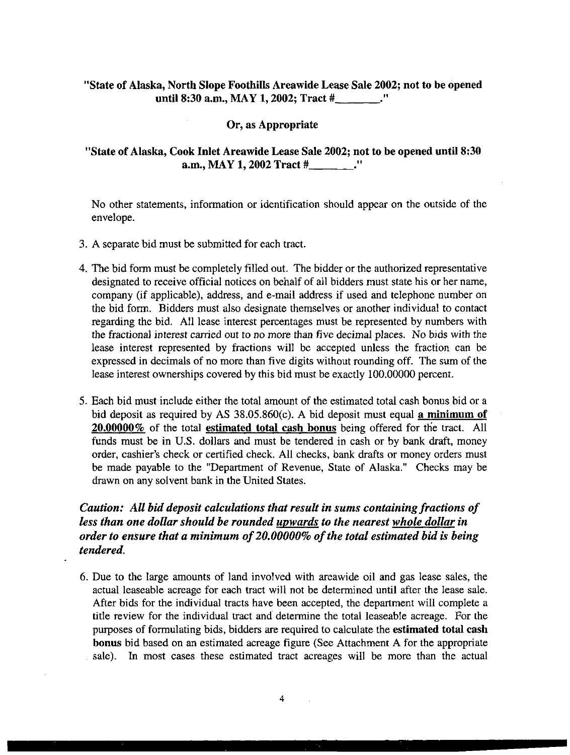#### "State of Alaska, North Slope Foothills Areawide Lease Sale 2002; not to be opened until 8:30 a.m., MAY 1, 2002; Tract #

#### Or, as Appropriate

#### "State of Alaska, Cook Inlet Areawide Lease Sale 2002; not to be opened until 8:30 a.m., MAY 1,2002 Tract # ."

No other statements, information or identification should appear on the outside of the envelope.

- 3. A separate bid must be submitted for each tract.
- 4. The bid form must be completely filled out. The bidder or the authorized representative designated to receive official notices on behalf of all bidders must state his or her name, company (if applicable), address, and e-mail address if used and telephone number on the bid form. Bidders must also designate themselves or another individual to contact regarding the bid. All lease interest percentages must be represented by numbers with the fractional interest carried out to no more than five decimal places. No bids with the lease interest represented by fractions will be accepted unless the fraction can be expressed in decimals of no more than five digits without rounding off. The sum of the lease interest ownerships covered by this bid must be exactly 100.00000 percent.
- 5. Each bid must include either the total amount of the estimated total cash bonus bid or a bid deposit as required by AS 38.05.860(c). A bid deposit must equal a minimum of 20.00000% of the total estimated total cash bonus being offered for the tract. All funds must be in U.S. dollars and must be tendered in cash or by bank draft, money order, cashier's check or certified check. All checks, bank drafts or money orders must be made payable to the "Department of Revenue, State of Alaska." Checks may be drawn on any solvent bank in the United States.

## Caution: All bid deposit calculations that result in sums containing fractions of less than one dollar should be rounded upwards to the nearest whole dollar in order to ensure that a minimum of 20.00000% of the total estimated bid is being tendered.

6. Due to the large amounts of land involved with areawide oil and gas lease sales, the actual leaseable acreage for each tract will not be determined until after the lease sale. After bids for the individual tracts have been accepted, the department will complete a title review for the individual tract and determine the total leaseable acreage. For the purposes of formulating bids, bidders are required to calculate the estimated total cash bonus bid based on an estimated acreage figure (See Attachment A for the appropriate sale). In most cases these estimated tract acreages will be more than the actual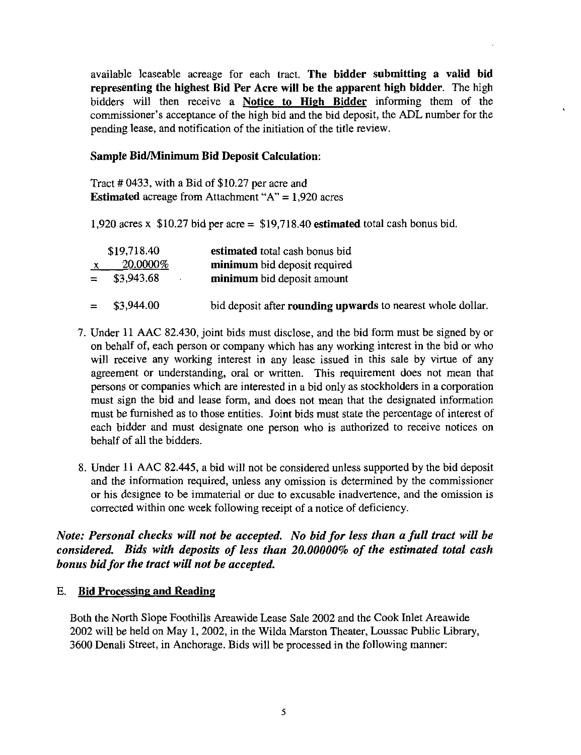available leaseable acreage for each tract. The bidder submitting a valid bid representing the highest Bid Per Acre will be the apparent high bidder. The high bidders will then receive a Notice to High Bidder informing them of the commissioner's acceptance of the high bid and the bid deposit, the ADL number for the pending lease, and notification of the initiation of the title review.

#### Sample Bid/Minimum Bid Deposit Calculation:

Tract # 0433, with a Bid of \$10.27 per acre and **Estimated** acreage from Attachment " $A$ " = 1,920 acres

1,920 acres x  $$10.27$  bid per acre =  $$19,718.40$  estimated total cash bonus bid.

| \$19,718.40    | estimated total cash bonus bid                              |
|----------------|-------------------------------------------------------------|
| 20.0000%       | minimum bid deposit required                                |
| $=$ \$3,943.68 | minimum bid deposit amount                                  |
|                |                                                             |
| $=$ \$3,944.00 | bid deposit after rounding upwards to nearest whole dollar. |

- 7. Under 11 AAC 82.430, joint bids must disclose, and the bid form must be signed by or on behalf of, each person or company which has any working interest in the bid or who will receive any working interest in any lease issued in this sale by virtue of any agreement or understanding, oral or written. This requirement does not mean that persons or companies which are interested in a bid only as stockholders in a corporation must sign the bid and lease form, and does not mean that the designated information must be furnished as to those entities. Joint bids must state the percentage of interest of each bidder and must designate one person who is authorized to receive notices on behalf of all the bidders.
- 8. Under 11 AAC 82.445, a bid will not be considered unless supported by the bid deposit and the information required, unless any omission is determined by the commissioner or his designee to be immaterial or due to excusable inadvertence, and the omission is corrected within one week following receipt of a notice of deficiency.

## Note: Personal checks will not be accepted. No bid for less than a full tract will be considered. Bids with deposits of less than 20.00000% of the estimated total cash bonus bid for the tract will not be accepted.

## E. Bid Processing and Reading

Both the North Slope Foothills Areawide Lease Sale 2002 and the Cook Inlet Areawide 2002 will be held on May 1, 2002, in the Wilda Marston Theater, Loussac Public Library, 3600 Denali Street, in Anchorage. Bids will be processed in the following manner: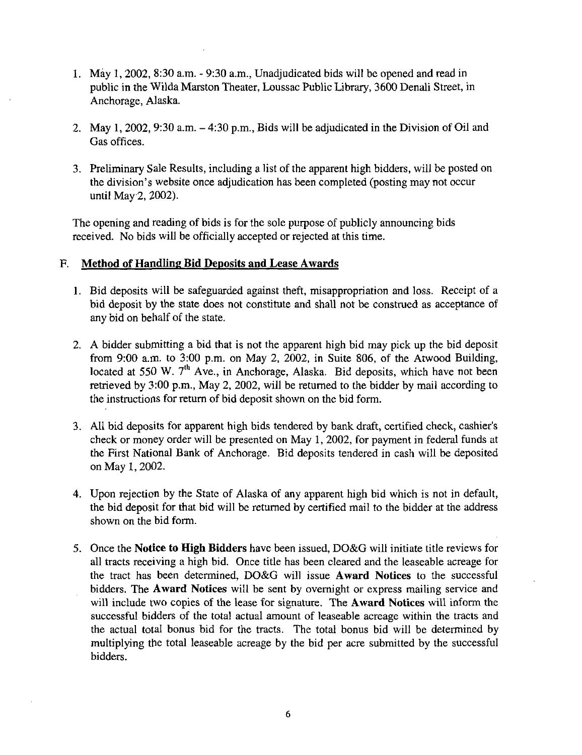- 1. May 1, 2002, 8:30 a.m. 9:30 a.m., Unadjudicated bids will be opened and read in public in the Wilda Marston Theater, Loussac Public Library, 3600 Denali Street, in Anchorage, Alaska.
- 2. May 1, 2002, 9:30 a.m. 4:30 p.m.. Bids will be adjudicated in the Division of Oil and Gas offices.
- 3. Preliminary Sale Results, including a list of the apparent high bidders, will be posted on the division's website once adjudication has been completed (posting may not occur until May 2, 2002).

The opening and reading of bids is for the sole purpose of publicly announcing bids received. No bids will be officially accepted or rejected at this time.

## F. Method of Handling Bid Deposits and Lease Awards

- 1. Bid deposits will be safeguarded against theft, misappropriation and loss. Receipt of a bid deposit by the state does not constitute and shall not be construed as acceptance of any bid on behalf of the state.
- 2. A bidder submitting a bid that is not the apparent high bid may pick up the bid deposit from 9:00 a.m. to 3:00 p.m. on May 2, 2002, in Suite 806, of the Atwood Building, located at 550 W.  $7<sup>th</sup>$  Ave., in Anchorage, Alaska. Bid deposits, which have not been retrieved by 3:00 p.m.. May 2, 2002, will be returned to the bidder by mail according to the instructions for return of bid deposit shown on the bid form.
- 3. All bid deposits for apparent high bids tendered by bank draft, certified check, cashier's check or money order will be presented on May 1, 2002, for payment in federal funds at the First National Bank of Anchorage. Bid deposits tendered in cash will be deposited on May 1,2002.
- 4. Upon rejection by the State of Alaska of any apparent high bid which is not in default, the bid deposit for that bid will be returned by certified mail to the bidder at the address shown on the bid form.
- 5. Once the Notice to High Bidders have been issued, DO&G will initiate title reviews for all tracts receiving a high bid. Once title has been cleared and the leaseable acreage for the tract has been determined, DO&G will issue Award Notices to the successful bidders. The Award Notices will be sent by overnight or express mailing service and will include two copies of the lease for signature. The **Award Notices** will inform the successful bidders of the total actual amount of leaseable acreage within the tracts and the actual total bonus bid for the tracts. The total bonus bid will be determined by multiplying the total leaseable acreage by the bid per acre submitted by the successful bidders.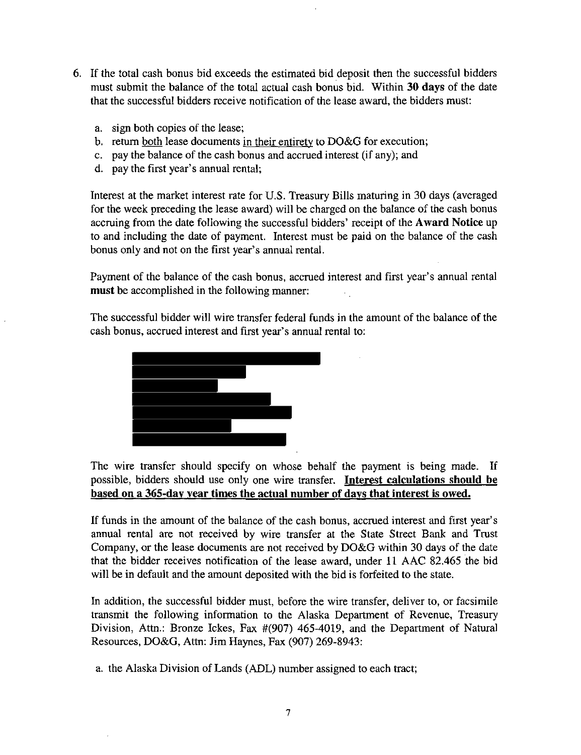- 6. If the total cash bonus bid exceeds the estimated bid deposit then the successful bidders must submit the balance of the total actual cash bonus bid. Within 30 days of the date that the successful bidders receive notification of the lease award, the bidders must:
	- a. sign both copies of the lease;
	- b. return both lease documents in their entirety to DO&G for execution;
	- c. pay the balance of the cash bonus and accrued interest (if any); and
	- d. pay the first year's annual rental;

Interest at the market interest rate for U.S. Treasury Bills maturing in 30 days (averaged for the week preceding the lease award) will be charged on the balance of the cash bonus accruing from the date following the successful bidders' receipt of the Award Notice up to and including the date of payment. Interest must be paid on the balance of the cash bonus only and not on the first year's annual rental.

Payment of the balance of the cash bonus, accrued interest and first year's annual rental must be accomplished in the following manner:

The successful bidder will wire transfer federal funds in the amount of the balance of the cash bonus, accrued interest and first year's annual rental to:



The wire transfer should specify on whose behalf the payment is being made. If possible, bidders should use only one wire transfer. Interest calculations should be based on a 365-dav year times the actual number of days that interest is owed.

If funds in the amount of the balance of the cash bonus, accrued interest and first year's annual rental are not received by wire transfer at the State Street Bank and Trust Company, or the lease documents are not received by DO&G within 30 days of the date that the bidder receives notification of the lease award, under 11 AAC 82.465 the bid will be in default and the amount deposited with the bid is forfeited to the state.

In addition, the successful bidder must, before the wire transfer, deliver to, or facsimile transmit the following information to the Alaska Department of Revenue, Treasury Division, Attn.: Bronze Ickes, Fax #(907) 465-4019, and the Department of Natural Resources, DO&G, Attn: Jim Haynes, Fax (907) 269-8943:

a. the Alaska Division of Lands (ADL) number assigned to each tract;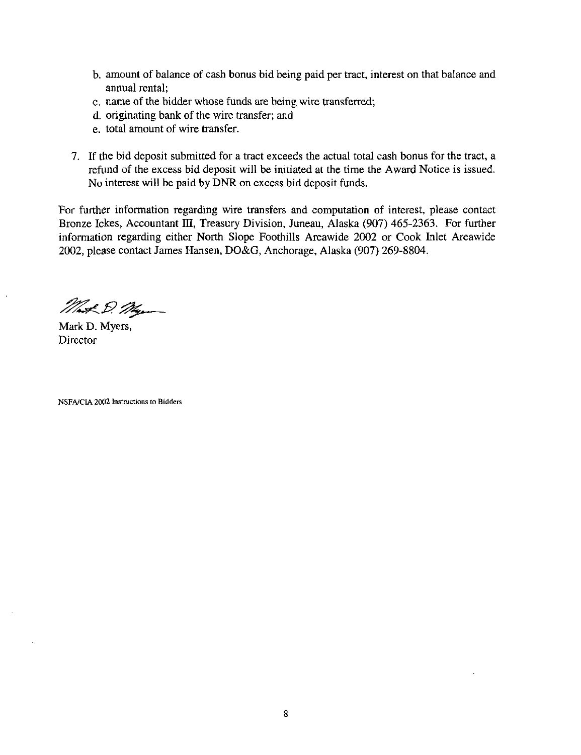- b. amount of balance of cash bonus bid being paid per tract, interest on that balance and annual rental;
- c. name of the bidder whose funds are being wire transferred;
- d. originating bank of the wire transfer; and
- e. total amount of wire transfer.
- 7. If the bid deposit submitted for a tract exceeds the actual total cash bonus for the tract, a refund of the excess bid deposit will be initiated at the time the Award Notice is issued. No interest will be paid by DNR on excess bid deposit funds.

For further information regarding wire transfers and computation of interest, please contact Bronze Ickes, Accountant III, Treasury Division, Juneau, Alaska (907) 465-2363. For further information regarding either North Slope Foothills Areawide 2002 or Cook Inlet Areawide 2002, please contact James Hansen, DO&G, Anchorage, Alaska (907) 269-8804.

Mat D. My

Mark D. Myers, **Director** 

NSFA/CIA 2002 Instructions to Bidders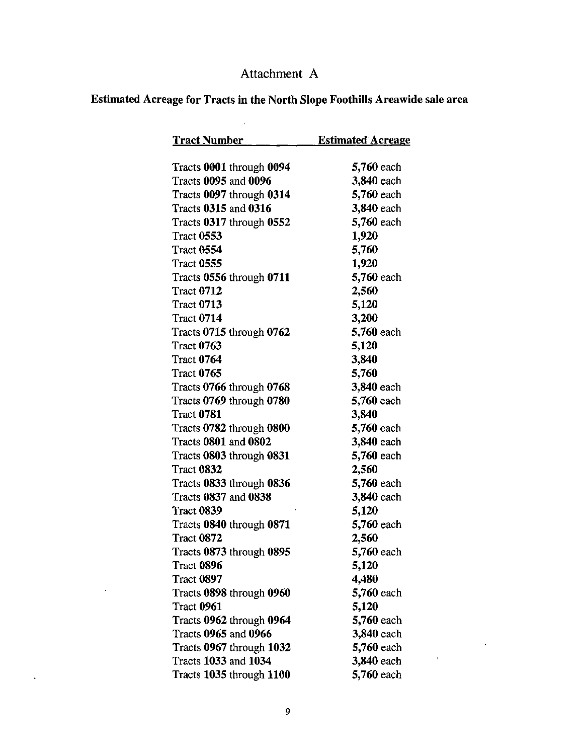## Attachment A

# Estimated Acreage for Tracts in the North Slope Foothills Areawide sale area

 $\sim$   $\sim$ 

| <b>Tract Number</b>                           | <b>Estimated Acreage</b> |
|-----------------------------------------------|--------------------------|
|                                               |                          |
| Tracts 0001 through 0094                      | 5,760 each               |
| Tracts 0095 and 0096                          | 3,840 each               |
| Tracts 0097 through 0314                      | 5,760 each               |
| <b>Tracts 0315 and 0316</b>                   | 3,840 each               |
| Tracts 0317 through 0552                      | 5,760 each               |
| <b>Tract 0553</b><br><b>Tract 0554</b>        | 1,920                    |
| <b>Tract 0555</b>                             | 5,760                    |
|                                               | 1,920                    |
| Tracts 0556 through 0711<br><b>Tract 0712</b> | 5,760 each               |
| <b>Tract 0713</b>                             | 2,560                    |
| <b>Tract 0714</b>                             | 5,120                    |
|                                               | 3,200                    |
| Tracts 0715 through 0762<br><b>Tract 0763</b> | 5,760 each<br>5,120      |
| <b>Tract 0764</b>                             | 3,840                    |
| <b>Tract 0765</b>                             | 5,760                    |
| Tracts 0766 through 0768                      | 3,840 each               |
| Tracts 0769 through 0780                      | 5,760 each               |
| <b>Tract 0781</b>                             | 3,840                    |
| Tracts 0782 through 0800                      | 5,760 each               |
| <b>Tracts 0801 and 0802</b>                   | 3,840 each               |
| Tracts 0803 through 0831                      | 5,760 each               |
| <b>Tract 0832</b>                             | 2,560                    |
| Tracts 0833 through 0836                      | 5,760 each               |
| Tracts 0837 and 0838                          | 3,840 each               |
| <b>Tract 0839</b>                             | 5,120                    |
| Tracts 0840 through 0871                      | 5,760 each               |
| <b>Tract 0872</b>                             | 2,560                    |
| Tracts 0873 through 0895                      | 5,760 each               |
| <b>Tract 0896</b>                             | 5,120                    |
| Tract 0897                                    | 4,480                    |
| Tracts 0898 through 0960                      | 5,760 each               |
| <b>Tract 0961</b>                             | 5,120                    |
| Tracts 0962 through 0964                      | 5,760 each               |
| Tracts 0965 and 0966                          | 3,840 each               |
| Tracts 0967 through 1032                      | 5,760 each               |
| Tracts 1033 and 1034                          | 3,840 each               |
| Tracts 1035 through 1100                      | 5,760 each               |

 $\label{eq:2.1} \frac{1}{\sqrt{2\pi}}\int_{0}^{\infty}\frac{1}{\sqrt{2\pi}}\left(\frac{1}{\sqrt{2\pi}}\right)^{2\alpha}d\theta.$ 

 $\sim 10^7$ 

 $\mathcal{L}(\mathbf{z})$  .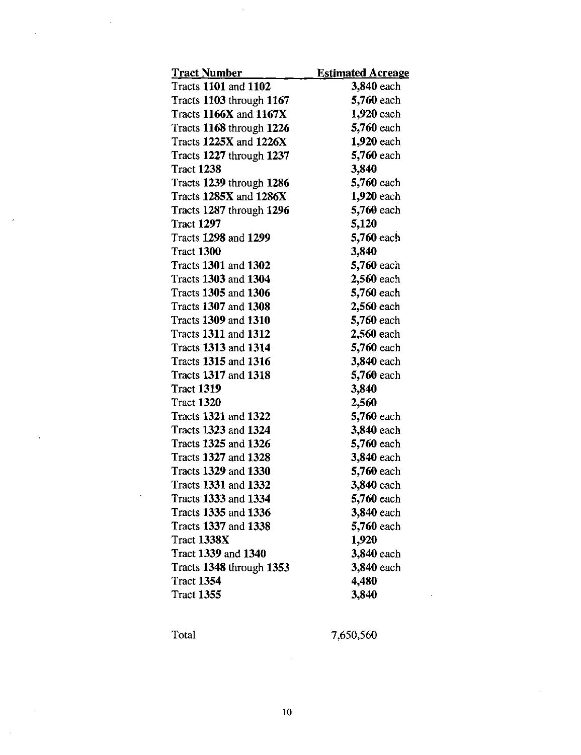| <b>Tract Number</b>           | <b>Estimated Acreage</b> |
|-------------------------------|--------------------------|
| <b>Tracts 1101 and 1102</b>   | 3,840 each               |
| Tracts 1103 through 1167      | 5,760 each               |
| <b>Tracts 1166X and 1167X</b> | 1,920 each               |
| Tracts 1168 through 1226      | 5,760 each               |
| Tracts 1225X and 1226X        | 1,920 each               |
| Tracts 1227 through 1237      | 5,760 each               |
| <b>Tract 1238</b>             | 3,840                    |
| Tracts 1239 through 1286      | 5,760 each               |
| Tracts 1285X and 1286X        | 1,920 each               |
| Tracts 1287 through 1296      | 5,760 each               |
| <b>Tract 1297</b>             | 5,120                    |
| Tracts 1298 and 1299          | 5,760 each               |
| <b>Tract 1300</b>             | 3,840                    |
| Tracts 1301 and 1302          | 5,760 each               |
| Tracts 1303 and 1304          | 2,560 each               |
| Tracts 1305 and 1306          | 5,760 each               |
| Tracts 1307 and 1308          | 2,560 each               |
| Tracts 1309 and 1310          | 5,760 each               |
| Tracts 1311 and 1312          | 2,560 each               |
| Tracts 1313 and 1314          | 5,760 each               |
| Tracts 1315 and 1316          | 3,840 each               |
| Tracts 1317 and 1318          | 5,760 each               |
| <b>Tract 1319</b>             | 3,840                    |
| <b>Tract 1320</b>             | 2,560                    |
| Tracts 1321 and 1322          | 5,760 each               |
| Tracts 1323 and 1324          | 3,840 each               |
| Tracts 1325 and 1326          | 5,760 each               |
| Tracts 1327 and 1328          | 3,840 each               |
| <b>Tracts 1329 and 1330</b>   | 5,760 each               |
| Tracts 1331 and 1332          | 3,840 each               |
| Tracts 1333 and 1334          | 5,760 each               |
| Tracts 1335 and 1336          | 3,840 each               |
| Tracts 1337 and 1338          | 5,760 each               |
| <b>Tract 1338X</b>            | 1,920                    |
| Tract 1339 and 1340           | 3,840 each               |
| Tracts 1348 through 1353      | 3,840 each               |
| <b>Tract 1354</b>             | 4,480                    |
| <b>Tract 1355</b>             | 3,840                    |

 $\hat{\mathcal{A}}$ 

 $\bar{z}$ 

 $\bar{\phantom{a}}$ 

 $\ddot{\phantom{1}}$ 

 $\ddot{\phantom{a}}$ 

Total 7,650,560

 $\ddot{\phantom{a}}$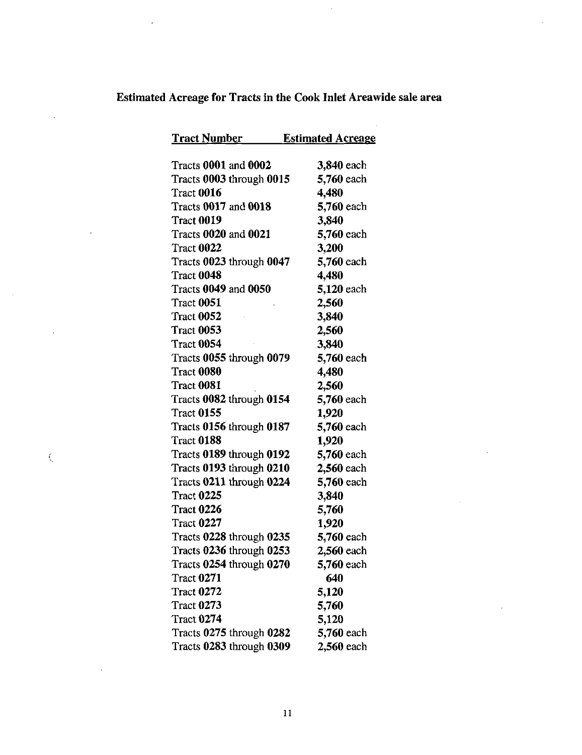# Estimated Acreage for Tracts in the Cook Inlet Areawide sale area

 $\hat{\mathcal{A}}$ 

 $\bar{z}$ 

 $\bar{z}$ 

 $\ddot{\phantom{a}}$ 

 $\bar{\zeta}$ 

 $\bar{z}$ 

 $\sim$   $\sim$ 

 $\bar{L}$ 

| <u>Tract Number</u>         | <b>Estimated Acreage</b> |
|-----------------------------|--------------------------|
|                             |                          |
| <b>Tracts 0001 and 0002</b> | 3,840 each               |
| Tracts 0003 through 0015    | 5,760 each               |
| <b>Tract 0016</b>           | 4,480                    |
| <b>Tracts 0017 and 0018</b> | 5,760 each               |
| <b>Tract 0019</b>           | 3,840                    |
| Tracts 0020 and 0021        | 5,760 each               |
| <b>Tract 0022</b>           | 3,200                    |
| Tracts 0023 through 0047    | 5,760 each               |
| <b>Tract 0048</b>           | 4,480                    |
| <b>Tracts 0049 and 0050</b> | 5,120 each               |
| Tract 0051                  | 2,560                    |
| <b>Tract 0052</b>           | 3,840                    |
| <b>Tract 0053</b>           | 2,560                    |
| Tract 0054                  | 3,840                    |
| Tracts 0055 through 0079    | 5,760 each               |
| <b>Tract 0080</b>           | 4,480                    |
| Tract 0081                  | 2,560                    |
| Tracts 0082 through 0154    | 5,760 each               |
| <b>Tract 0155</b>           | 1,920                    |
| Tracts 0156 through 0187    | 5,760 each               |
| <b>Tract 0188</b>           | 1,920                    |
| Tracts 0189 through 0192    | 5,760 each               |
| Tracts 0193 through 0210    | 2,560 each               |
| Tracts 0211 through 0224    | 5,760 each               |
| <b>Tract 0225</b>           | 3,840                    |
| <b>Tract 0226</b>           | 5,760                    |
| <b>Tract 0227</b>           | 1,920                    |
| Tracts 0228 through 0235    | 5,760 each               |
| Tracts 0236 through 0253    | 2,560 each               |
| Tracts 0254 through 0270    | 5,760 each               |
| <b>Tract 0271</b>           | 640                      |
| <b>Tract 0272</b>           | 5,120                    |
| <b>Tract 0273</b>           | 5,760                    |
| <b>Tract 0274</b>           | 5,120                    |
| Tracts 0275 through 0282    | 5,760 each               |
| Tracts 0283 through 0309    | 2,560 each               |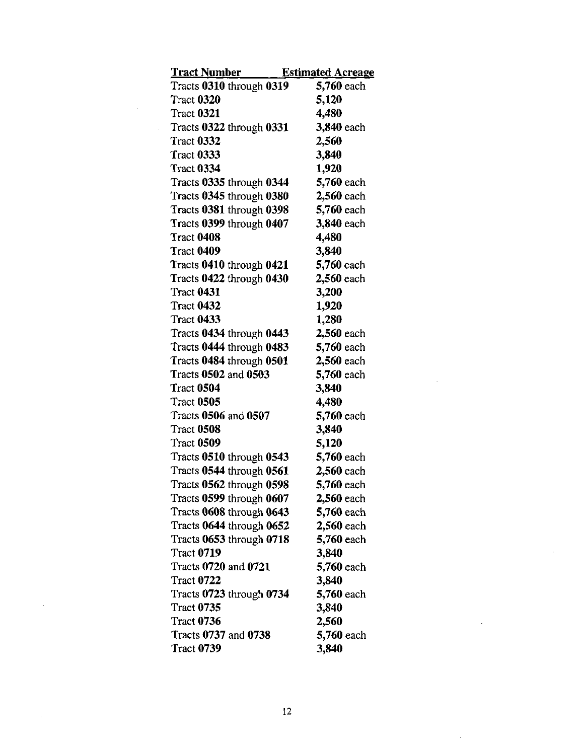| <u>Tract Number —</u>    | <b>Estimated Acreage</b> |
|--------------------------|--------------------------|
| Tracts 0310 through 0319 | 5,760 each               |
| <b>Tract 0320</b>        | 5,120                    |
| Tract 0321               | 4,480                    |
| Tracts 0322 through 0331 | 3,840 each               |
| Tract 0332               | 2,560                    |
| Tract 0333               | 3,840                    |
| <b>Tract 0334</b>        | 1,920                    |
| Tracts 0335 through 0344 | 5,760 each               |
| Tracts 0345 through 0380 | 2,560 each               |
| Tracts 0381 through 0398 | 5,760 each               |
| Tracts 0399 through 0407 | 3,840 each               |
| <b>Tract 0408</b>        | 4,480                    |
| Tract 0409               | 3,840                    |
| Tracts 0410 through 0421 | 5,760 each               |
| Tracts 0422 through 0430 | 2,560 each               |
| <b>Tract 0431</b>        | 3,200                    |
| <b>Tract 0432</b>        | 1,920                    |
| <b>Tract 0433</b>        | 1,280                    |
| Tracts 0434 through 0443 | 2,560 each               |
| Tracts 0444 through 0483 | 5,760 each               |
| Tracts 0484 through 0501 | 2,560 each               |
| Tracts 0502 and 0503     | 5,760 each               |
| Tract 0504               | 3,840                    |
| Tract 0505               | 4,480                    |
| Tracts 0506 and 0507     | 5,760 each               |
| Tract 0508               | 3,840                    |
| <b>Tract 0509</b>        | 5,120                    |
| Tracts 0510 through 0543 | 5,760 each               |
| Tracts 0544 through 0561 | 2,560 each               |
| Tracts 0562 through 0598 | 5,760 each               |
| Tracts 0599 through 0607 | 2,560 each               |
| Tracts 0608 through 0643 | 5,760 each               |
| Tracts 0644 through 0652 | 2,560 each               |
| Tracts 0653 through 0718 | 5,760 each               |
| <b>Tract 0719</b>        | 3,840                    |
| Tracts 0720 and 0721     | 5,760 each               |
| <b>Tract 0722</b>        | 3,840                    |
| Tracts 0723 through 0734 | 5,760 each               |
| <b>Tract 0735</b>        | 3,840                    |
| <b>Tract 0736</b>        | 2,560                    |
| Tracts 0737 and 0738     | 5,760 each               |
| <b>Tract 0739</b>        | 3,840                    |

 $\mathcal{L}_{\text{max}}$  .

 $\bar{\mathcal{A}}$ 

 $\bar{z}$ 

12

 $\hat{\mathcal{E}}$ 

 $\mathcal{A}$